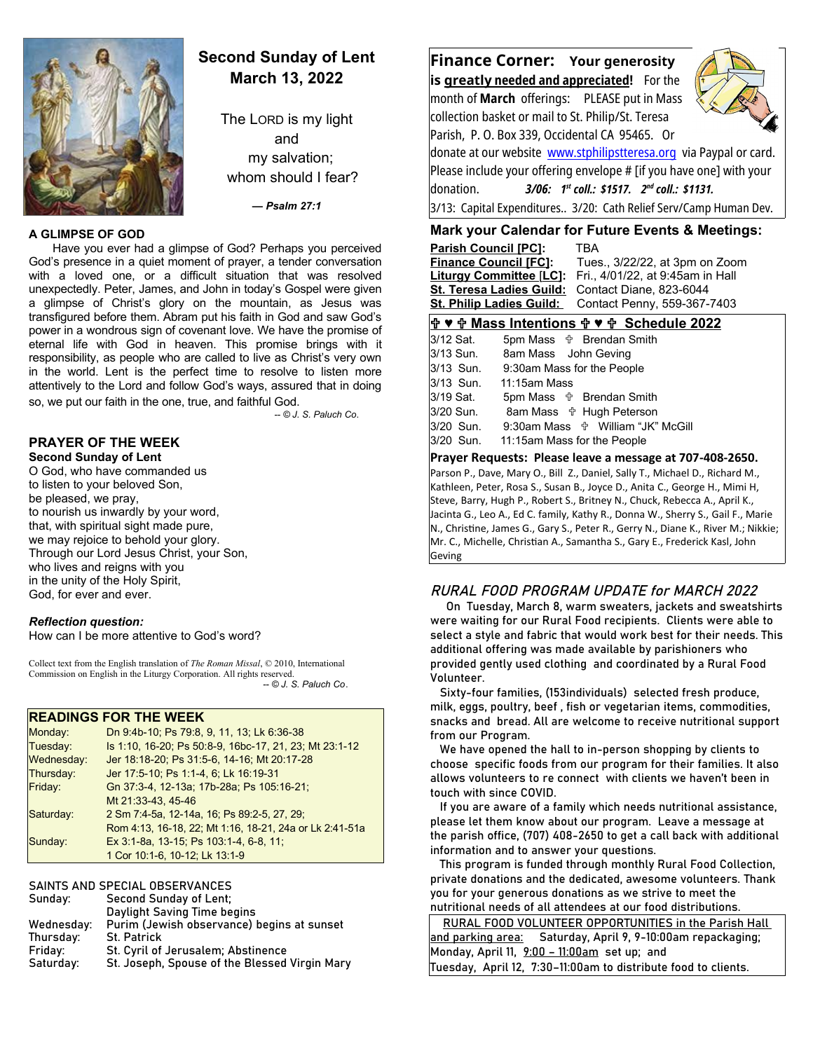

## **Second Sunday of Lent March 13, 2022**

The LORD is my light and my salvation; whom should I fear?

*— Psalm 27:1*

#### **A GLIMPSE OF GOD**

Have you ever had a glimpse of God? Perhaps you perceived God's presence in a quiet moment of prayer, a tender conversation with a loved one, or a difficult situation that was resolved unexpectedly. Peter, James, and John in today's Gospel were given a glimpse of Christ's glory on the mountain, as Jesus was transfigured before them. Abram put his faith in God and saw God's power in a wondrous sign of covenant love. We have the promise of eternal life with God in heaven. This promise brings with it responsibility, as people who are called to live as Christ's very own in the world. Lent is the perfect time to resolve to listen more attentively to the Lord and follow God's ways, assured that in doing so, we put our faith in the one, true, and faithful God.

*-- © J. S. Paluch Co*.

**PRAYER OF THE WEEK**

**Second Sunday of Lent** O God, who have commanded us to listen to your beloved Son, be pleased, we pray, to nourish us inwardly by your word, that, with spiritual sight made pure, we may rejoice to behold your glory. Through our Lord Jesus Christ, your Son, who lives and reigns with you in the unity of the Holy Spirit, God, for ever and ever.

#### *Reflection question:*

How can I be more attentive to God's word?

Collect text from the English translation of *The Roman Missal*, © 2010, International Commission on English in the Liturgy Corporation. All rights reserved.  *-- © J. S. Paluch Co*.

#### **READINGS FOR THE WEEK**

| Monday:           | Dn 9:4b-10; Ps 79:8, 9, 11, 13; Lk 6:36-38              |
|-------------------|---------------------------------------------------------|
| Tuesday:          | Is 1:10, 16-20; Ps 50:8-9, 16bc-17, 21, 23; Mt 23:1-12  |
| <b>Wednesday:</b> | Jer 18:18-20, Ps 31:5-6, 14-16, Mt 20:17-28             |
| Thursday:         | Jer 17:5-10, Ps 1:1-4, 6, Lk 16:19-31                   |
| Friday:           | Gn 37:3-4, 12-13a; 17b-28a; Ps 105:16-21;               |
|                   | Mt 21:33-43, 45-46                                      |
| Saturday:         | 2 Sm 7:4-5a, 12-14a, 16, Ps 89:2-5, 27, 29;             |
|                   | Rom 4:13, 16-18, 22; Mt 1:16, 18-21, 24a or Lk 2:41-51a |
| Sunday:           | Ex 3:1-8a, 13-15; Ps 103:1-4, 6-8, 11;                  |
|                   | 1 Cor 10:1-6, 10-12; Lk 13:1-9                          |
|                   |                                                         |

#### SAINTS AND SPECIAL OBSERVANCES

| Second Sunday of Lent;                        |
|-----------------------------------------------|
| Daylight Saving Time begins                   |
| Purim (Jewish observance) begins at sunset    |
| <b>St. Patrick</b>                            |
| St. Cyril of Jerusalem; Abstinence            |
| St. Joseph, Spouse of the Blessed Virgin Mary |
|                                               |

**Finance Corner: Your generosity is greatl y needed and appreciated!** For the month of **March** offerings: PLEASE put in Mass collection basket or mail to St. Philip/St. Teresa Parish, P. O. Box 339, Occidental CA 95465. Or donate at our website [www.stphilipstteresa.org](http://www.stphilipstteresa.org/) via Paypal or card. Please include your offering envelope # [if you have one] with your donation. *3/06: 1st coll.: \$1517. 2nd coll.: \$1131.* 3/13: Capital Expenditures.. 3/20: Cath Relief Serv/Camp Human Dev.

### **Mark your Calendar for Future Events & Meetings:**

| <b>Parish Council [PC]:</b>     | TBA                              |
|---------------------------------|----------------------------------|
| <b>Finance Council [FC]:</b>    | Tues., 3/22/22, at 3pm on Zoom   |
| <b>Liturgy Committee [LC]:</b>  | Fri., 4/01/22, at 9:45am in Hall |
| <b>St. Teresa Ladies Guild:</b> | Contact Diane, 823-6044          |
| <b>St. Philip Ladies Guild:</b> | Contact Penny, 559-367-7403      |
|                                 |                                  |

### **♥ Mass Intentions ♥ Schedule 2022**

| 3/12 Sat.<br>3/13 Sun.<br>3/13 Sun. | 5pm Mass $\frac{1}{1}$ Brendan Smith<br>8am Mass John Geving<br>9:30am Mass for the People |
|-------------------------------------|--------------------------------------------------------------------------------------------|
| 3/13 Sun.                           | 11:15am Mass                                                                               |
| 3/19 Sat.<br>3/20 Sun.              | 5pm Mass $\forall$ Brendan Smith<br>8am Mass <sup>+</sup> Hugh Peterson                    |
| 3/20 Sun.                           | 9:30am Mass $\frac{4}{10}$ William "JK" McGill                                             |
| 3/20 Sun.                           | 11:15am Mass for the People                                                                |

**Prayer Requests: Please leave a message at 707-408-2650.** 

Parson P., Dave, Mary O., Bill Z., Daniel, Sally T., Michael D., Richard M., Kathleen, Peter, Rosa S., Susan B., Joyce D., Anita C., George H., Mimi H, Steve, Barry, Hugh P., Robert S., Britney N., Chuck, Rebecca A., April K., Jacinta G., Leo A., Ed C. family, Kathy R., Donna W., Sherry S., Gail F., Marie N., Christine, James G., Gary S., Peter R., Gerry N., Diane K., River M.; Nikkie; Mr. C., Michelle, Christian A., Samantha S., Gary E., Frederick Kasl, John Geving

## RURAL FOOD PROGRAM UPDATE for MARCH 2022

 On Tuesday, March 8, warm sweaters, jackets and sweatshirts were waiting for our Rural Food recipients. Clients were able to select a style and fabric that would work best for their needs. This additional offering was made available by parishioners who provided gently used clothing and coordinated by a Rural Food Volunteer.

 Sixty-four families, (153individuals) selected fresh produce, milk, eggs, poultry, beef , fish or vegetarian items, commodities, snacks and bread. All are welcome to receive nutritional support from our Program.

 We have opened the hall to in-person shopping by clients to choose specific foods from our program for their families. It also allows volunteers to re connect with clients we haven't been in touch with since COVID.

 If you are aware of a family which needs nutritional assistance, please let them know about our program. Leave a message at the parish office, (707) 408-2650 to get a call back with additional information and to answer your questions.

 This program is funded through monthly Rural Food Collection, private donations and the dedicated, awesome volunteers. Thank you for your generous donations as we strive to meet the nutritional needs of all attendees at our food distributions.

| RURAL FOOD VOLUNTEER OPPORTUNITIES in the Parish Hall          |  |  |
|----------------------------------------------------------------|--|--|
| and parking area: Saturday, April 9, 9-10:00am repackaging;    |  |  |
| Monday, April 11, 9:00 - 11:00am set up; and                   |  |  |
| Tuesday, April 12, 7:30-11:00am to distribute food to clients. |  |  |